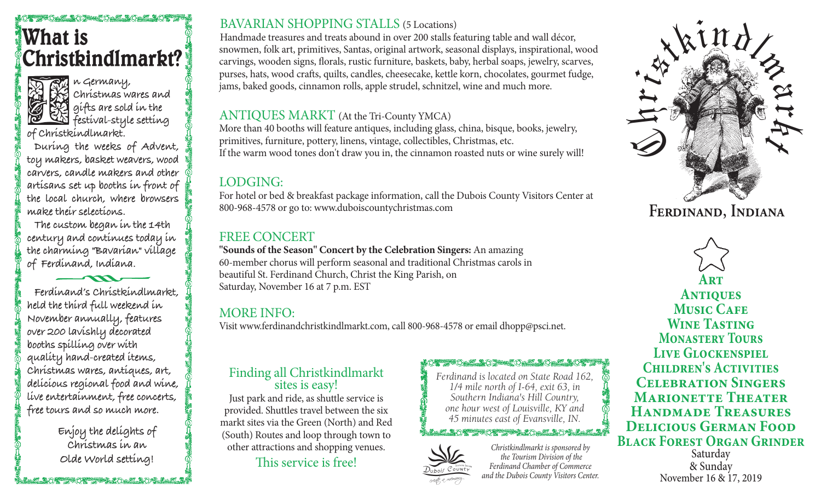# Castoma CEMMA CASTOMA **What is Christkindlmarkt?**



**n Germany, Christmas wares and gifts are sold in the festival-style setting** 

**of Christkindlmarkt.**

**During the weeks of Advent, toy makers, basket weavers, wood carvers, candle makers and other artisans set up booths in front of the local church, where browsers make their selections.**

**The custom began in the 14th century and continues today in the charming "Bavarian" village of Ferdinand, Indiana.**

**Ferdinand's Christkindlmarkt, held the third full weekend in November annually, features over 200 lavishly decorated booths spilling over with quality hand-created items, Christmas wares, antiques, art, delicious regional food and wine, live entertainment, free concerts, free tours and so much more.**

> **Enjoy the delights of Christmas in an Olde World setting!**

**合理 生物 化学生物学 医学生的 化学生** 

## BAVARIAN SHOPPING STALLS (5 Locations)

Handmade treasures and treats abound in over 200 stalls featuring table and wall décor, snowmen, folk art, primitives, Santas, original artwork, seasonal displays, inspirational, wood carvings, wooden signs, florals, rustic furniture, baskets, baby, herbal soaps, jewelry, scarves, purses, hats, wood crafts, quilts, candles, cheesecake, kettle korn, chocolates, gourmet fudge, jams, baked goods, cinnamon rolls, apple strudel, schnitzel, wine and much more.

### ANTIQUES MARKT (At the Tri-County YMCA)

More than 40 booths will feature antiques, including glass, china, bisque, books, jewelry, primitives, furniture, pottery, linens, vintage, collectibles, Christmas, etc. If the warm wood tones don't draw you in, the cinnamon roasted nuts or wine surely will!

# LODGING:

For hotel or bed & breakfast package information, call the Dubois County Visitors Center at 800-968-4578 or go to: www.duboiscountychristmas.com

# FREE CONCERT

**"Sounds of the Season" Concert by the Celebration Singers:** An amazing 60-member chorus will perform seasonal and traditional Christmas carols in beautiful St. Ferdinand Church, Christ the King Parish, on Saturday, November 16 at 7 p.m. EST

# MORE INFO:

Visit www.ferdinandchristkindlmarkt.com, call 800-968-4578 or email dhopp@psci.net.

# Finding all Christkindlmarkt<br>sites is easy!

Just park and ride, as shuttle service is provided. Shuttles travel between the six markt sites via the Green (North) and Red (South) Routes and loop through town to other attractions and shopping venues.

This service is free!

*Ferdinand is located on State Road 162, 1/4 mile north of I-64, exit 63, in Southern Indiana's Hill Country, one hour west of Louisville, KY and 45 minutes east of Evansville, IN.*

#### LACTED AND MAN CREWING LEATHER AND ALLE AND LEATHER



*Christkindlmarkt is sponsored by the Tourism Division of the Ferdinand Chamber of Commerce and the Dubois County Visitors Center.*



**Ferdinand, Indiana**

**Art Antiques Music CAFE Wine Tasting Monastery Tours Live Glockenspiel Children's Activities Celebration Singers Marionette Theater Handmade Treasures Delicious German Food Black Forest Organ Grinder**

Saturday & Sunday November 16 & 17, 2019